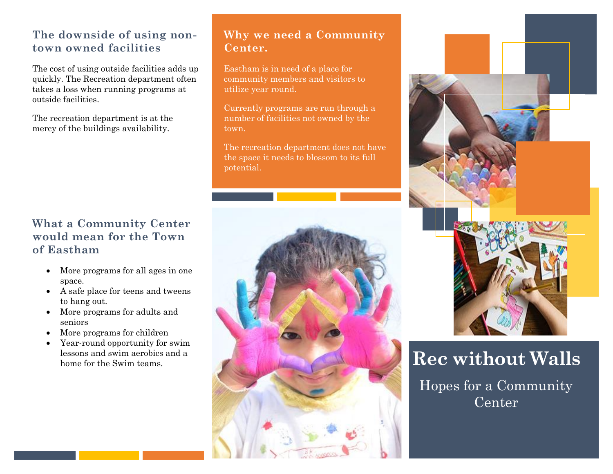### **The downside of using nontown owned facilities**

The cost of using outside facilities adds up quickly. The Recreation department often takes a loss when running programs at outside facilities.

The recreation department is at the mercy of the buildings availability.

### **What a Community Center would mean for the Town of Eastham**

- More programs for all ages in one space.
- A safe place for teens and tweens to hang out.
- More programs for adults and seniors
- More programs for children
- Year-round opportunity for swim lessons and swim aerobics and a home for the Swim teams.

### **Why we need a Community Center.**

Eastham is in need of a place for community members and visitors to utilize year round.

Currently programs are run through a number of facilities not owned by the town.

The recreation department does not have the space it needs to blossom to its full potential.





# **Rec without Walls**

Hopes for a Community Center